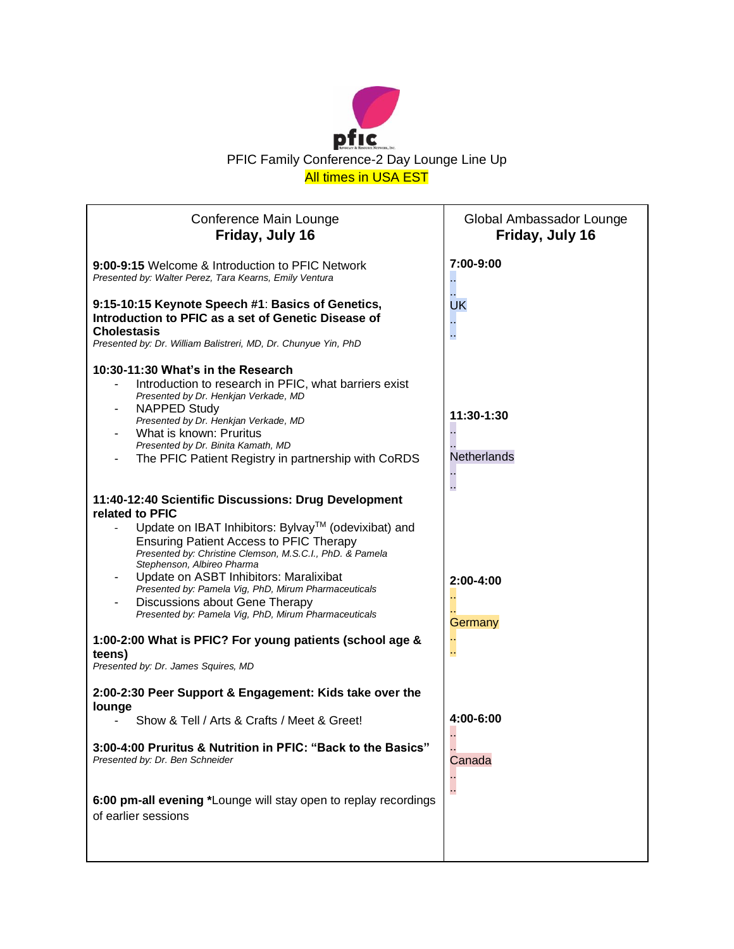

| Conference Main Lounge<br>Friday, July 16                                                                                                                                                                                                                                                                                                                                                                                                                                                                                          | Global Ambassador Lounge<br>Friday, July 16 |
|------------------------------------------------------------------------------------------------------------------------------------------------------------------------------------------------------------------------------------------------------------------------------------------------------------------------------------------------------------------------------------------------------------------------------------------------------------------------------------------------------------------------------------|---------------------------------------------|
| 9:00-9:15 Welcome & Introduction to PFIC Network<br>Presented by: Walter Perez, Tara Kearns, Emily Ventura                                                                                                                                                                                                                                                                                                                                                                                                                         | 7:00-9:00                                   |
| 9:15-10:15 Keynote Speech #1: Basics of Genetics,<br>Introduction to PFIC as a set of Genetic Disease of<br><b>Cholestasis</b><br>Presented by: Dr. William Balistreri, MD, Dr. Chunyue Yin, PhD                                                                                                                                                                                                                                                                                                                                   | UK                                          |
| 10:30-11:30 What's in the Research<br>Introduction to research in PFIC, what barriers exist<br>Presented by Dr. Henkjan Verkade, MD<br><b>NAPPED Study</b><br>Presented by Dr. Henkjan Verkade, MD                                                                                                                                                                                                                                                                                                                                 | 11:30-1:30                                  |
| What is known: Pruritus<br>Presented by Dr. Binita Kamath, MD<br>The PFIC Patient Registry in partnership with CoRDS                                                                                                                                                                                                                                                                                                                                                                                                               | Netherlands                                 |
| 11:40-12:40 Scientific Discussions: Drug Development<br>related to PFIC<br>Update on IBAT Inhibitors: Bylvay™ (odevixibat) and<br><b>Ensuring Patient Access to PFIC Therapy</b><br>Presented by: Christine Clemson, M.S.C.I., PhD. & Pamela<br>Stephenson, Albireo Pharma<br>Update on ASBT Inhibitors: Maralixibat<br>Presented by: Pamela Vig, PhD, Mirum Pharmaceuticals<br>Discussions about Gene Therapy<br>Presented by: Pamela Vig, PhD, Mirum Pharmaceuticals<br>1:00-2:00 What is PFIC? For young patients (school age & | 2:00-4:00<br>Germany                        |
| teens)<br>Presented by: Dr. James Squires, MD                                                                                                                                                                                                                                                                                                                                                                                                                                                                                      |                                             |
| 2:00-2:30 Peer Support & Engagement: Kids take over the<br>lounge                                                                                                                                                                                                                                                                                                                                                                                                                                                                  |                                             |
| Show & Tell / Arts & Crafts / Meet & Greet!                                                                                                                                                                                                                                                                                                                                                                                                                                                                                        | 4:00-6:00                                   |
| 3:00-4:00 Pruritus & Nutrition in PFIC: "Back to the Basics"<br>Presented by: Dr. Ben Schneider                                                                                                                                                                                                                                                                                                                                                                                                                                    | Canada                                      |
| 6:00 pm-all evening *Lounge will stay open to replay recordings<br>of earlier sessions                                                                                                                                                                                                                                                                                                                                                                                                                                             | г.                                          |